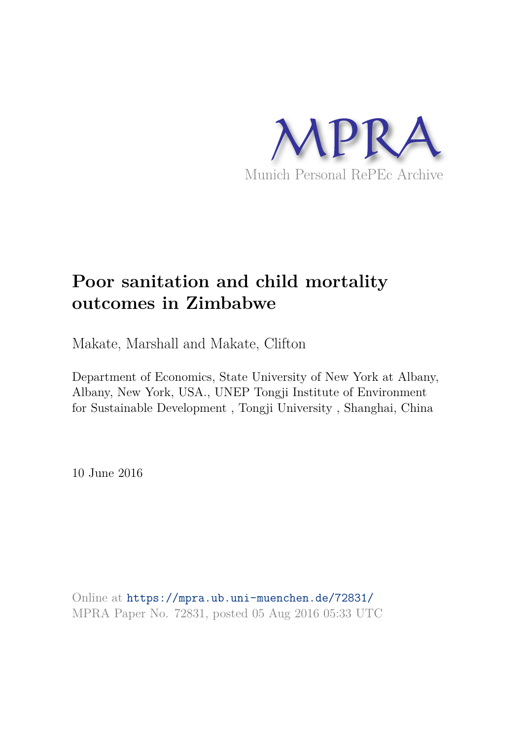

# **Poor sanitation and child mortality outcomes in Zimbabwe**

Makate, Marshall and Makate, Clifton

Department of Economics, State University of New York at Albany, Albany, New York, USA., UNEP Tongji Institute of Environment for Sustainable Development , Tongji University , Shanghai, China

10 June 2016

Online at https://mpra.ub.uni-muenchen.de/72831/ MPRA Paper No. 72831, posted 05 Aug 2016 05:33 UTC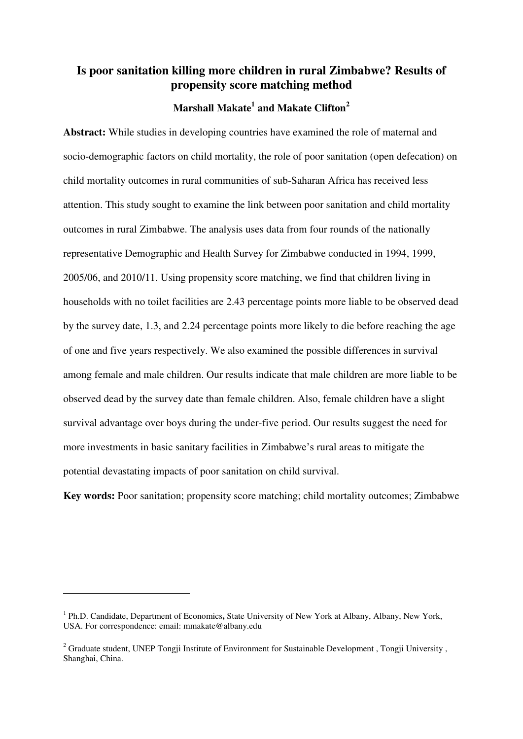# **Is poor sanitation killing more children in rural Zimbabwe? Results of propensity score matching method**

# **Marshall Makate<sup>1</sup> and Makate Clifton<sup>2</sup>**

**Abstract:** While studies in developing countries have examined the role of maternal and socio-demographic factors on child mortality, the role of poor sanitation (open defecation) on child mortality outcomes in rural communities of sub-Saharan Africa has received less attention. This study sought to examine the link between poor sanitation and child mortality outcomes in rural Zimbabwe. The analysis uses data from four rounds of the nationally representative Demographic and Health Survey for Zimbabwe conducted in 1994, 1999, 2005/06, and 2010/11. Using propensity score matching, we find that children living in households with no toilet facilities are 2.43 percentage points more liable to be observed dead by the survey date, 1.3, and 2.24 percentage points more likely to die before reaching the age of one and five years respectively. We also examined the possible differences in survival among female and male children. Our results indicate that male children are more liable to be observed dead by the survey date than female children. Also, female children have a slight survival advantage over boys during the under-five period. Our results suggest the need for more investments in basic sanitary facilities in Zimbabwe's rural areas to mitigate the potential devastating impacts of poor sanitation on child survival.

**Key words:** Poor sanitation; propensity score matching; child mortality outcomes; Zimbabwe

<u>.</u>

<sup>&</sup>lt;sup>1</sup> Ph.D. Candidate, Department of Economics, State University of New York at Albany, Albany, New York, USA. For correspondence: email: mmakate@albany.edu

<sup>&</sup>lt;sup>2</sup> Graduate student, UNEP Tongji Institute of Environment for Sustainable Development, Tongji University, Shanghai, China.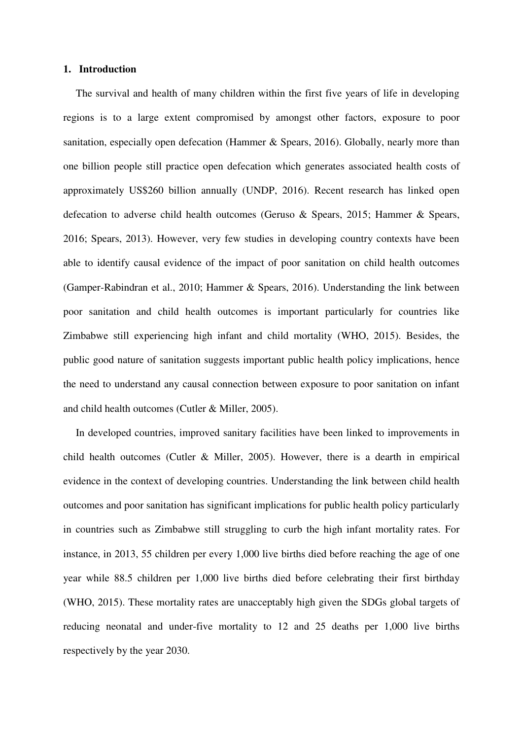#### **1. Introduction**

The survival and health of many children within the first five years of life in developing regions is to a large extent compromised by amongst other factors, exposure to poor sanitation, especially open defecation [\(Hammer & Spears, 2016\)](#page-20-0). Globally, nearly more than one billion people still practice open defecation which generates associated health costs of approximately US\$260 billion annually [\(UNDP, 2016\)](#page-22-0). Recent research has linked open defecation to adverse child health outcomes [\(Geruso & Spears, 2015;](#page-20-1) [Hammer & Spears,](#page-20-0)  [2016;](#page-20-0) [Spears, 2013\)](#page-22-1). However, very few studies in developing country contexts have been able to identify causal evidence of the impact of poor sanitation on child health outcomes [\(Gamper-Rabindran et al., 2010;](#page-20-2) [Hammer & Spears, 2016\)](#page-20-0). Understanding the link between poor sanitation and child health outcomes is important particularly for countries like Zimbabwe still experiencing high infant and child mortality [\(WHO, 2015\)](#page-22-2). Besides, the public good nature of sanitation suggests important public health policy implications, hence the need to understand any causal connection between exposure to poor sanitation on infant and child health outcomes [\(Cutler & Miller, 2005\)](#page-20-3).

In developed countries, improved sanitary facilities have been linked to improvements in child health outcomes [\(Cutler & Miller, 2005\)](#page-20-3). However, there is a dearth in empirical evidence in the context of developing countries. Understanding the link between child health outcomes and poor sanitation has significant implications for public health policy particularly in countries such as Zimbabwe still struggling to curb the high infant mortality rates. For instance, in 2013, 55 children per every 1,000 live births died before reaching the age of one year while 88.5 children per 1,000 live births died before celebrating their first birthday [\(WHO, 2015\)](#page-22-2). These mortality rates are unacceptably high given the SDGs global targets of reducing neonatal and under-five mortality to 12 and 25 deaths per 1,000 live births respectively by the year 2030.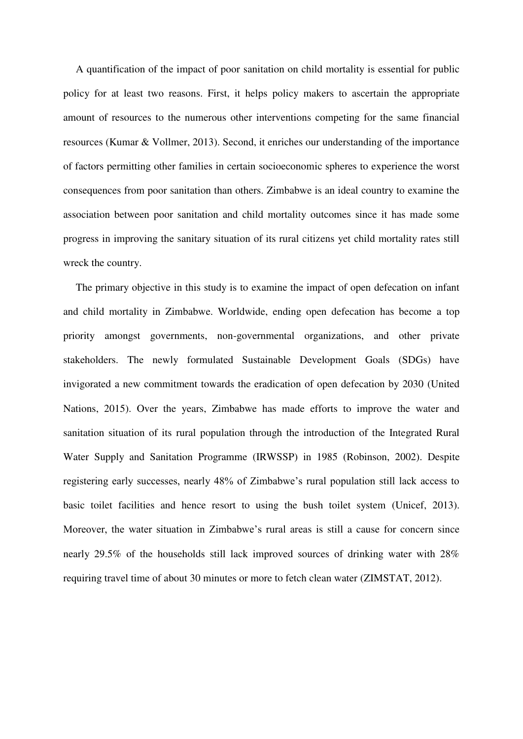A quantification of the impact of poor sanitation on child mortality is essential for public policy for at least two reasons. First, it helps policy makers to ascertain the appropriate amount of resources to the numerous other interventions competing for the same financial resources [\(Kumar & Vollmer, 2013\)](#page-21-0). Second, it enriches our understanding of the importance of factors permitting other families in certain socioeconomic spheres to experience the worst consequences from poor sanitation than others. Zimbabwe is an ideal country to examine the association between poor sanitation and child mortality outcomes since it has made some progress in improving the sanitary situation of its rural citizens yet child mortality rates still wreck the country.

The primary objective in this study is to examine the impact of open defecation on infant and child mortality in Zimbabwe. Worldwide, ending open defecation has become a top priority amongst governments, non-governmental organizations, and other private stakeholders. The newly formulated Sustainable Development Goals (SDGs) have invigorated a new commitment towards the eradication of open defecation by 2030 [\(United](#page-22-3)  [Nations, 2015\)](#page-22-3). Over the years, Zimbabwe has made efforts to improve the water and sanitation situation of its rural population through the introduction of the Integrated Rural Water Supply and Sanitation Programme (IRWSSP) in 1985 [\(Robinson, 2002\)](#page-21-1). Despite registering early successes, nearly 48% of Zimbabwe's rural population still lack access to basic toilet facilities and hence resort to using the bush toilet system [\(Unicef, 2013\)](#page-22-4). Moreover, the water situation in Zimbabwe's rural areas is still a cause for concern since nearly 29.5% of the households still lack improved sources of drinking water with 28% requiring travel time of about 30 minutes or more to fetch clean water [\(ZIMSTAT, 2012\)](#page-22-5).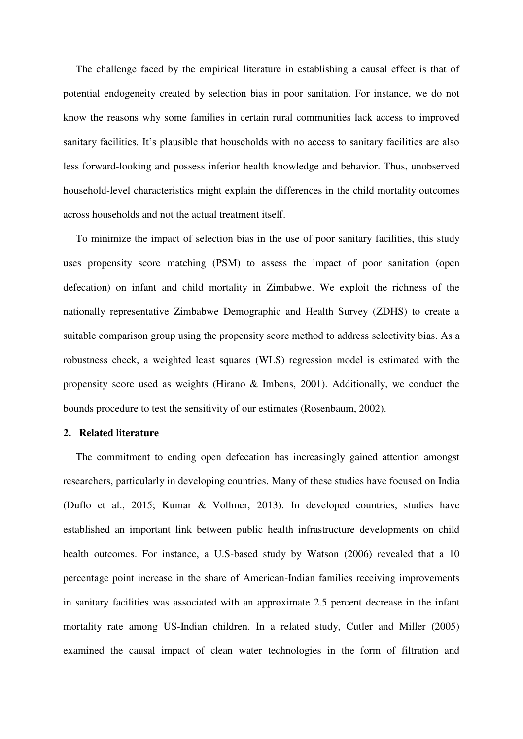The challenge faced by the empirical literature in establishing a causal effect is that of potential endogeneity created by selection bias in poor sanitation. For instance, we do not know the reasons why some families in certain rural communities lack access to improved sanitary facilities. It's plausible that households with no access to sanitary facilities are also less forward-looking and possess inferior health knowledge and behavior. Thus, unobserved household-level characteristics might explain the differences in the child mortality outcomes across households and not the actual treatment itself.

To minimize the impact of selection bias in the use of poor sanitary facilities, this study uses propensity score matching (PSM) to assess the impact of poor sanitation (open defecation) on infant and child mortality in Zimbabwe. We exploit the richness of the nationally representative Zimbabwe Demographic and Health Survey (ZDHS) to create a suitable comparison group using the propensity score method to address selectivity bias. As a robustness check, a weighted least squares (WLS) regression model is estimated with the propensity score used as weights [\(Hirano & Imbens, 2001\)](#page-21-2). Additionally, we conduct the bounds procedure to test the sensitivity of our estimates [\(Rosenbaum, 2002\)](#page-21-3).

#### **2. Related literature**

The commitment to ending open defecation has increasingly gained attention amongst researchers, particularly in developing countries. Many of these studies have focused on India [\(Duflo et al., 2015;](#page-20-4) [Kumar & Vollmer, 2013\)](#page-21-0). In developed countries, studies have established an important link between public health infrastructure developments on child health outcomes. For instance, a U.S-based study by [Watson \(2006\)](#page-22-6) revealed that a 10 percentage point increase in the share of American-Indian families receiving improvements in sanitary facilities was associated with an approximate 2.5 percent decrease in the infant mortality rate among US-Indian children. In a related study, [Cutler and Miller \(2005\)](#page-20-3)  examined the causal impact of clean water technologies in the form of filtration and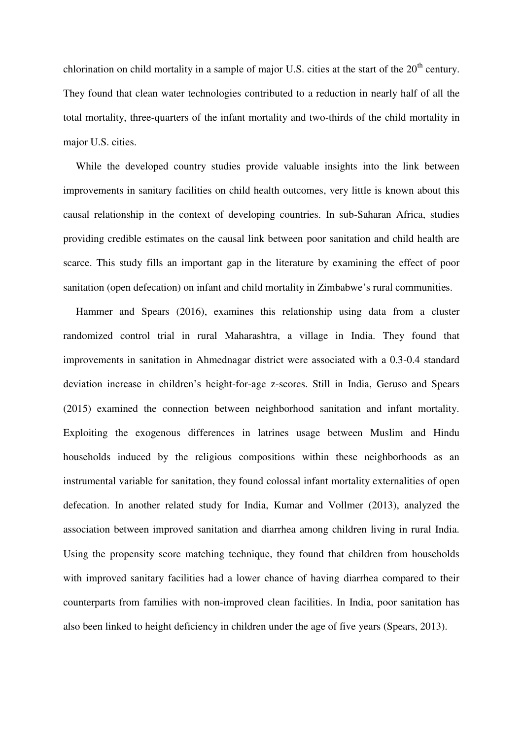chlorination on child mortality in a sample of major U.S. cities at the start of the  $20<sup>th</sup>$  century. They found that clean water technologies contributed to a reduction in nearly half of all the total mortality, three-quarters of the infant mortality and two-thirds of the child mortality in major U.S. cities.

While the developed country studies provide valuable insights into the link between improvements in sanitary facilities on child health outcomes, very little is known about this causal relationship in the context of developing countries. In sub-Saharan Africa, studies providing credible estimates on the causal link between poor sanitation and child health are scarce. This study fills an important gap in the literature by examining the effect of poor sanitation (open defecation) on infant and child mortality in Zimbabwe's rural communities.

[Hammer and Spears \(2016\),](#page-20-0) examines this relationship using data from a cluster randomized control trial in rural Maharashtra, a village in India. They found that improvements in sanitation in Ahmednagar district were associated with a 0.3-0.4 standard deviation increase in children's height-for-age z-scores. Still in India, [Geruso and Spears](#page-20-1)  (2015) examined the connection between neighborhood sanitation and infant mortality. Exploiting the exogenous differences in latrines usage between Muslim and Hindu households induced by the religious compositions within these neighborhoods as an instrumental variable for sanitation, they found colossal infant mortality externalities of open defecation. In another related study for India, [Kumar and Vollmer \(2013\),](#page-21-0) analyzed the association between improved sanitation and diarrhea among children living in rural India. Using the propensity score matching technique, they found that children from households with improved sanitary facilities had a lower chance of having diarrhea compared to their counterparts from families with non-improved clean facilities. In India, poor sanitation has also been linked to height deficiency in children under the age of five years [\(Spears, 2013\)](#page-22-1).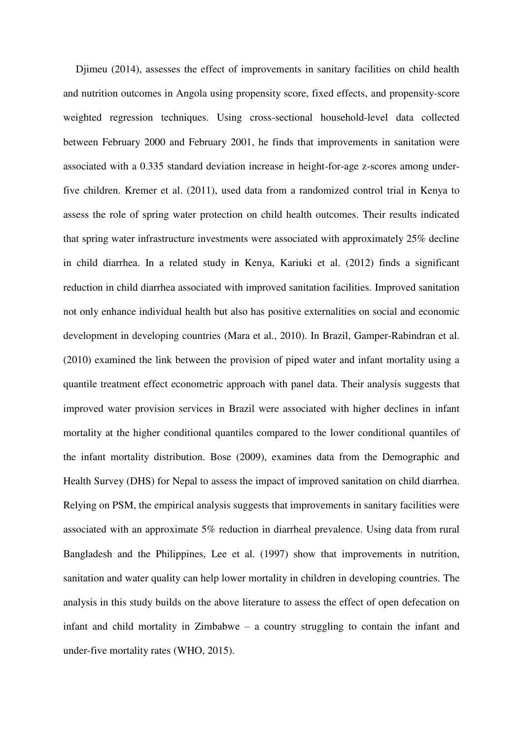[Djimeu \(2014\),](#page-20-5) assesses the effect of improvements in sanitary facilities on child health and nutrition outcomes in Angola using propensity score, fixed effects, and propensity-score weighted regression techniques. Using cross-sectional household-level data collected between February 2000 and February 2001, he finds that improvements in sanitation were associated with a 0.335 standard deviation increase in height-for-age z-scores among underfive children. [Kremer et al. \(2011\),](#page-21-4) used data from a randomized control trial in Kenya to assess the role of spring water protection on child health outcomes. Their results indicated that spring water infrastructure investments were associated with approximately 25% decline in child diarrhea. In a related study in Kenya, [Kariuki et al. \(2012\)](#page-21-5) finds a significant reduction in child diarrhea associated with improved sanitation facilities. Improved sanitation not only enhance individual health but also has positive externalities on social and economic development in developing countries [\(Mara et al., 2010\)](#page-21-6). In Brazil, [Gamper-Rabindran et al.](#page-20-2)  (2010) examined the link between the provision of piped water and infant mortality using a quantile treatment effect econometric approach with panel data. Their analysis suggests that improved water provision services in Brazil were associated with higher declines in infant mortality at the higher conditional quantiles compared to the lower conditional quantiles of the infant mortality distribution. [Bose \(2009\),](#page-20-6) examines data from the Demographic and Health Survey (DHS) for Nepal to assess the impact of improved sanitation on child diarrhea. Relying on PSM, the empirical analysis suggests that improvements in sanitary facilities were associated with an approximate 5% reduction in diarrheal prevalence. Using data from rural Bangladesh and the Philippines, [Lee et al. \(1997\)](#page-21-7) show that improvements in nutrition, sanitation and water quality can help lower mortality in children in developing countries. The analysis in this study builds on the above literature to assess the effect of open defecation on infant and child mortality in Zimbabwe – a country struggling to contain the infant and under-five mortality rates [\(WHO, 2015\)](#page-22-2).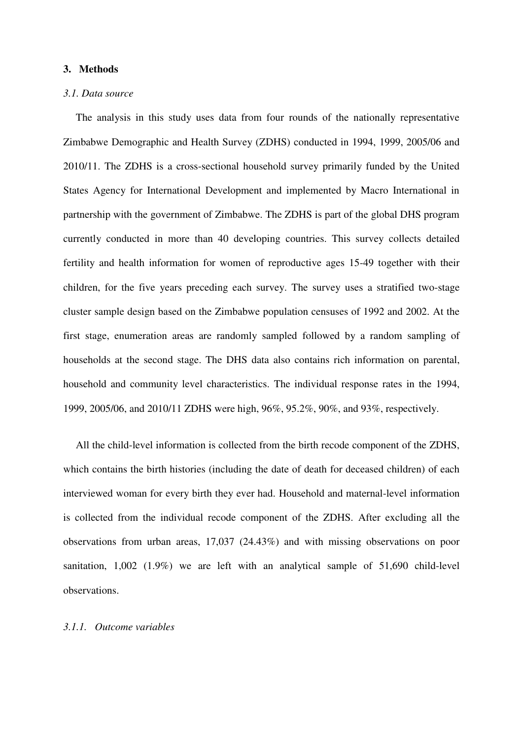# **3. Methods**

#### *3.1. Data source*

The analysis in this study uses data from four rounds of the nationally representative Zimbabwe Demographic and Health Survey (ZDHS) conducted in 1994, 1999, 2005/06 and 2010/11. The ZDHS is a cross-sectional household survey primarily funded by the United States Agency for International Development and implemented by Macro International in partnership with the government of Zimbabwe. The ZDHS is part of the global DHS program currently conducted in more than 40 developing countries. This survey collects detailed fertility and health information for women of reproductive ages 15-49 together with their children, for the five years preceding each survey. The survey uses a stratified two-stage cluster sample design based on the Zimbabwe population censuses of 1992 and 2002. At the first stage, enumeration areas are randomly sampled followed by a random sampling of households at the second stage. The DHS data also contains rich information on parental, household and community level characteristics. The individual response rates in the 1994, 1999, 2005/06, and 2010/11 ZDHS were high, 96%, 95.2%, 90%, and 93%, respectively.

All the child-level information is collected from the birth recode component of the ZDHS, which contains the birth histories (including the date of death for deceased children) of each interviewed woman for every birth they ever had. Household and maternal-level information is collected from the individual recode component of the ZDHS. After excluding all the observations from urban areas, 17,037 (24.43%) and with missing observations on poor sanitation, 1,002 (1.9%) we are left with an analytical sample of 51,690 child-level observations.

#### *3.1.1. Outcome variables*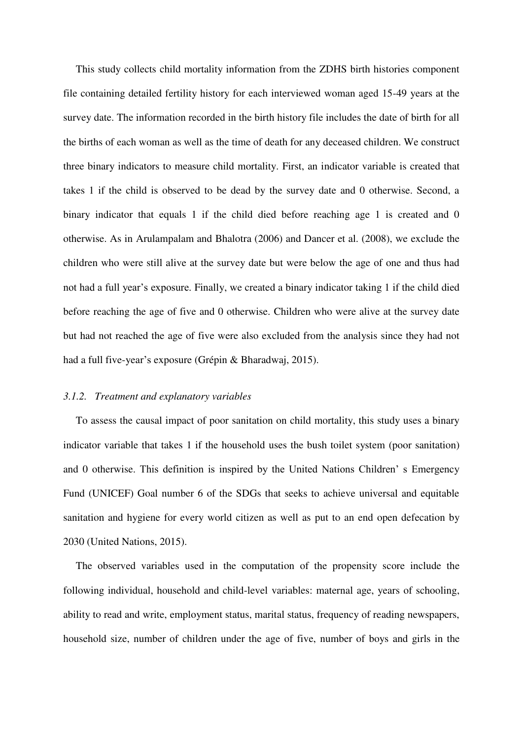This study collects child mortality information from the ZDHS birth histories component file containing detailed fertility history for each interviewed woman aged 15-49 years at the survey date. The information recorded in the birth history file includes the date of birth for all the births of each woman as well as the time of death for any deceased children. We construct three binary indicators to measure child mortality. First, an indicator variable is created that takes 1 if the child is observed to be dead by the survey date and 0 otherwise. Second, a binary indicator that equals 1 if the child died before reaching age 1 is created and 0 otherwise. As in [Arulampalam and Bhalotra \(2006\)](#page-20-7) and [Dancer et al. \(2008\),](#page-20-8) we exclude the children who were still alive at the survey date but were below the age of one and thus had not had a full year's exposure. Finally, we created a binary indicator taking 1 if the child died before reaching the age of five and 0 otherwise. Children who were alive at the survey date but had not reached the age of five were also excluded from the analysis since they had not had a full five-year's exposure [\(Grépin & Bharadwaj, 2015\)](#page-20-9).

#### *3.1.2. Treatment and explanatory variables*

To assess the causal impact of poor sanitation on child mortality, this study uses a binary indicator variable that takes 1 if the household uses the bush toilet system (poor sanitation) and 0 otherwise. This definition is inspired by the United Nations Children' s Emergency Fund (UNICEF) Goal number 6 of the SDGs that seeks to achieve universal and equitable sanitation and hygiene for every world citizen as well as put to an end open defecation by 2030 [\(United Nations, 2015\)](#page-22-3).

The observed variables used in the computation of the propensity score include the following individual, household and child-level variables: maternal age, years of schooling, ability to read and write, employment status, marital status, frequency of reading newspapers, household size, number of children under the age of five, number of boys and girls in the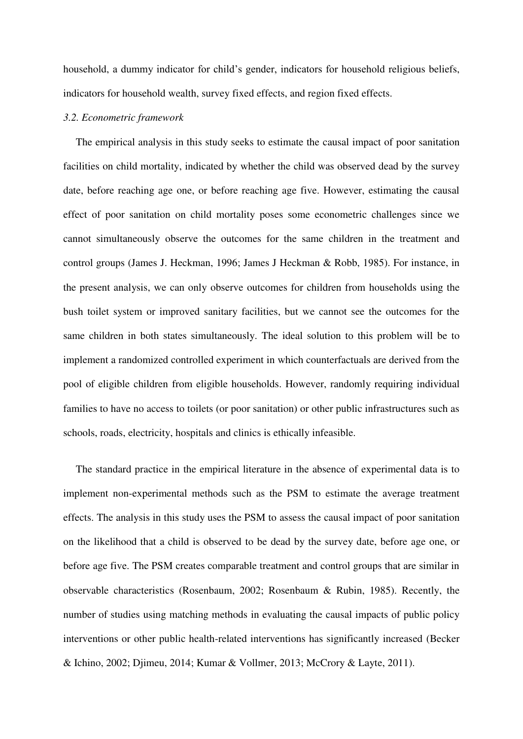household, a dummy indicator for child's gender, indicators for household religious beliefs, indicators for household wealth, survey fixed effects, and region fixed effects.

#### *3.2. Econometric framework*

The empirical analysis in this study seeks to estimate the causal impact of poor sanitation facilities on child mortality, indicated by whether the child was observed dead by the survey date, before reaching age one, or before reaching age five. However, estimating the causal effect of poor sanitation on child mortality poses some econometric challenges since we cannot simultaneously observe the outcomes for the same children in the treatment and control groups [\(James J. Heckman, 1996;](#page-20-10) [James J Heckman & Robb, 1985\)](#page-20-11). For instance, in the present analysis, we can only observe outcomes for children from households using the bush toilet system or improved sanitary facilities, but we cannot see the outcomes for the same children in both states simultaneously. The ideal solution to this problem will be to implement a randomized controlled experiment in which counterfactuals are derived from the pool of eligible children from eligible households. However, randomly requiring individual families to have no access to toilets (or poor sanitation) or other public infrastructures such as schools, roads, electricity, hospitals and clinics is ethically infeasible.

The standard practice in the empirical literature in the absence of experimental data is to implement non-experimental methods such as the PSM to estimate the average treatment effects. The analysis in this study uses the PSM to assess the causal impact of poor sanitation on the likelihood that a child is observed to be dead by the survey date, before age one, or before age five. The PSM creates comparable treatment and control groups that are similar in observable characteristics [\(Rosenbaum, 2002;](#page-21-3) [Rosenbaum & Rubin, 1985\)](#page-22-7). Recently, the number of studies using matching methods in evaluating the causal impacts of public policy interventions or other public health-related interventions has significantly increased [\(Becker](#page-20-12)  [& Ichino, 2002;](#page-20-12) [Djimeu, 2014;](#page-20-5) [Kumar & Vollmer, 2013;](#page-21-0) [McCrory & Layte, 2011\)](#page-21-8).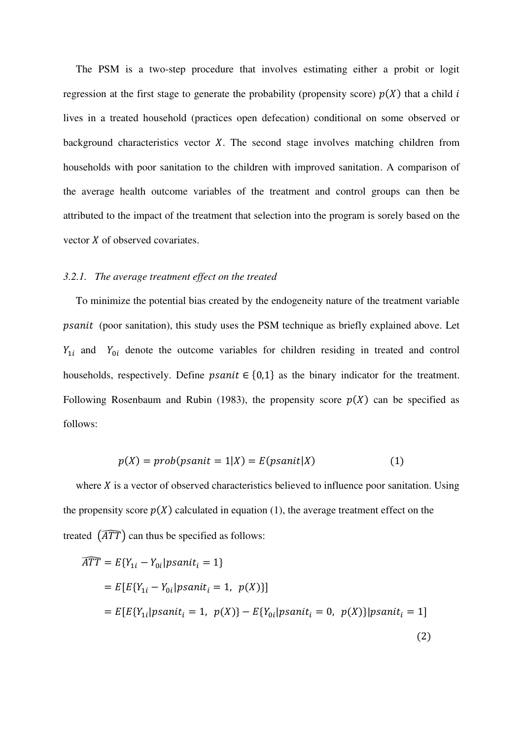The PSM is a two-step procedure that involves estimating either a probit or logit regression at the first stage to generate the probability (propensity score)  $p(X)$  that a child i lives in a treated household (practices open defecation) conditional on some observed or background characteristics vector  $X$ . The second stage involves matching children from households with poor sanitation to the children with improved sanitation. A comparison of the average health outcome variables of the treatment and control groups can then be attributed to the impact of the treatment that selection into the program is sorely based on the vector  $X$  of observed covariates.

#### *3.2.1. The average treatment effect on the treated*

To minimize the potential bias created by the endogeneity nature of the treatment variable (poor sanitation), this study uses the PSM technique as briefly explained above. Let  $Y_{1i}$  and  $Y_{0i}$  denote the outcome variables for children residing in treated and control households, respectively. Define *psanit*  $\in \{0,1\}$  as the binary indicator for the treatment. Following [Rosenbaum and Rubin \(1983\),](#page-22-8) the propensity score  $p(X)$  can be specified as follows:

$$
p(X) = prob(psanti = 1|X) = E(psanti|X)
$$
 (1)

where  $X$  is a vector of observed characteristics believed to influence poor sanitation. Using the propensity score  $p(X)$  calculated in equation (1), the average treatment effect on the treated  $\left(\widehat{ATT}\right)$  can thus be specified as follows:

$$
\overline{ATT} = E\{Y_{1i} - Y_{0i} | psanit_i = 1\}
$$
\n
$$
= E[E\{Y_{1i} - Y_{0i} | psanit_i = 1, p(X)\}]
$$
\n
$$
= E[E\{Y_{1i} | psanit_i = 1, p(X)\} - E\{Y_{0i} | psanit_i = 0, p(X)\} | psanit_i = 1]
$$
\n(2)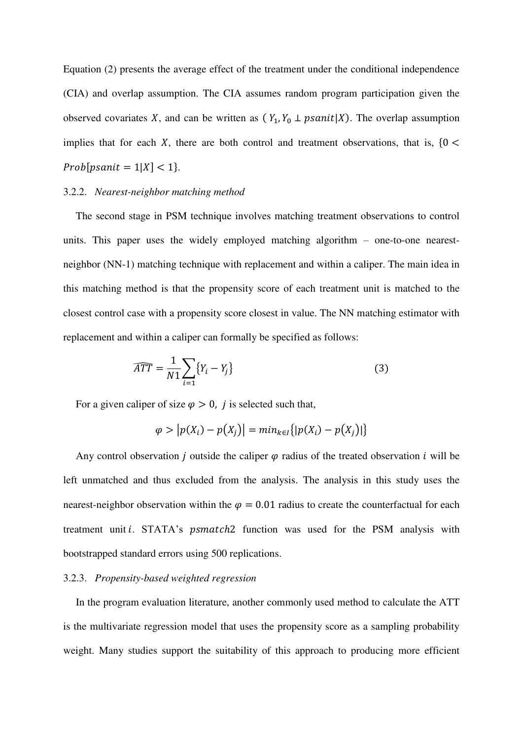Equation (2) presents the average effect of the treatment under the conditional independence (CIA) and overlap assumption. The CIA assumes random program participation given the observed covariates X, and can be written as  $(Y_1, Y_0 \perp p \text{.}$  The overlap assumption implies that for each X, there are both control and treatment observations, that is,  ${0 <$  $Prob[psanit = 1|X] < 1$ .

# 3.2.2. *Nearest-neighbor matching method*

The second stage in PSM technique involves matching treatment observations to control units. This paper uses the widely employed matching algorithm – one-to-one nearestneighbor (NN-1) matching technique with replacement and within a caliper. The main idea in this matching method is that the propensity score of each treatment unit is matched to the closest control case with a propensity score closest in value. The NN matching estimator with replacement and within a caliper can formally be specified as follows:

$$
\widehat{ATT} = \frac{1}{N1} \sum_{i=1} \{Y_i - Y_j\} \tag{3}
$$

For a given caliper of size  $\varphi > 0$ , *j* is selected such that,

$$
\varphi > |p(X_i) - p(X_j)| = min_{k \in I} \{|p(X_i) - p(X_j)|\}
$$

Any control observation *j* outside the caliper  $\varphi$  radius of the treated observation *i* will be left unmatched and thus excluded from the analysis. The analysis in this study uses the nearest-neighbor observation within the  $\varphi = 0.01$  radius to create the counterfactual for each treatment unit *i*. STATA's *psmatch*2 function was used for the PSM analysis with bootstrapped standard errors using 500 replications.

#### 3.2.3. *Propensity-based weighted regression*

In the program evaluation literature, another commonly used method to calculate the ATT is the multivariate regression model that uses the propensity score as a sampling probability weight. Many studies support the suitability of this approach to producing more efficient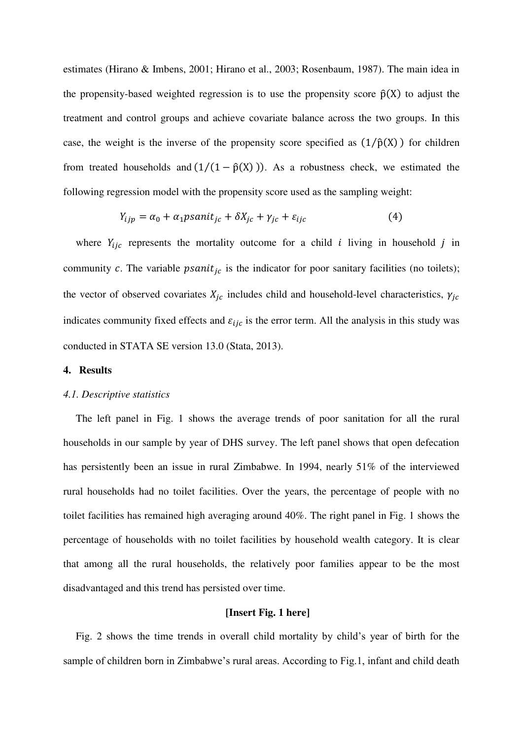estimates [\(Hirano & Imbens, 2001;](#page-21-2) [Hirano et al., 2003;](#page-21-9) [Rosenbaum, 1987\)](#page-21-10). The main idea in the propensity-based weighted regression is to use the propensity score  $\hat{p}(X)$  to adjust the treatment and control groups and achieve covariate balance across the two groups. In this case, the weight is the inverse of the propensity score specified as  $(1/\hat{p}(X))$  for children from treated households and  $(1/(1 - \hat{p}(X)))$ . As a robustness check, we estimated the following regression model with the propensity score used as the sampling weight:

$$
Y_{ijp} = \alpha_0 + \alpha_1 p \sin(t_{jc} + \delta X_{jc} + \gamma_{jc} + \varepsilon_{ijc} \tag{4}
$$

where  $Y_{ijc}$  represents the mortality outcome for a child *i* living in household *j* in community c. The variable  $psanit_{ic}$  is the indicator for poor sanitary facilities (no toilets); the vector of observed covariates  $X_{ic}$  includes child and household-level characteristics,  $\gamma_{ic}$ indicates community fixed effects and  $\varepsilon_{ijc}$  is the error term. All the analysis in this study was conducted in STATA SE version 13.0 [\(Stata, 2013\)](#page-22-9).

# **4. Results**

#### *4.1. Descriptive statistics*

The left panel in Fig. 1 shows the average trends of poor sanitation for all the rural households in our sample by year of DHS survey. The left panel shows that open defecation has persistently been an issue in rural Zimbabwe. In 1994, nearly 51% of the interviewed rural households had no toilet facilities. Over the years, the percentage of people with no toilet facilities has remained high averaging around 40%. The right panel in Fig. 1 shows the percentage of households with no toilet facilities by household wealth category. It is clear that among all the rural households, the relatively poor families appear to be the most disadvantaged and this trend has persisted over time.

# **[Insert Fig. 1 here]**

Fig. 2 shows the time trends in overall child mortality by child's year of birth for the sample of children born in Zimbabwe's rural areas. According to Fig.1, infant and child death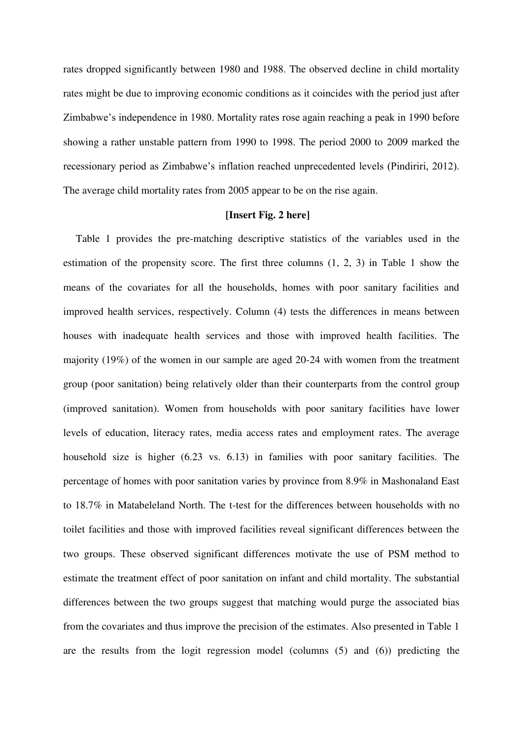rates dropped significantly between 1980 and 1988. The observed decline in child mortality rates might be due to improving economic conditions as it coincides with the period just after Zimbabwe's independence in 1980. Mortality rates rose again reaching a peak in 1990 before showing a rather unstable pattern from 1990 to 1998. The period 2000 to 2009 marked the recessionary period as Zimbabwe's inflation reached unprecedented levels (Pindiriri, 2012). The average child mortality rates from 2005 appear to be on the rise again.

#### **[Insert Fig. 2 here]**

Table 1 provides the pre-matching descriptive statistics of the variables used in the estimation of the propensity score. The first three columns (1, 2, 3) in Table 1 show the means of the covariates for all the households, homes with poor sanitary facilities and improved health services, respectively. Column (4) tests the differences in means between houses with inadequate health services and those with improved health facilities. The majority (19%) of the women in our sample are aged 20-24 with women from the treatment group (poor sanitation) being relatively older than their counterparts from the control group (improved sanitation). Women from households with poor sanitary facilities have lower levels of education, literacy rates, media access rates and employment rates. The average household size is higher (6.23 vs. 6.13) in families with poor sanitary facilities. The percentage of homes with poor sanitation varies by province from 8.9% in Mashonaland East to 18.7% in Matabeleland North. The t-test for the differences between households with no toilet facilities and those with improved facilities reveal significant differences between the two groups. These observed significant differences motivate the use of PSM method to estimate the treatment effect of poor sanitation on infant and child mortality. The substantial differences between the two groups suggest that matching would purge the associated bias from the covariates and thus improve the precision of the estimates. Also presented in Table 1 are the results from the logit regression model (columns (5) and (6)) predicting the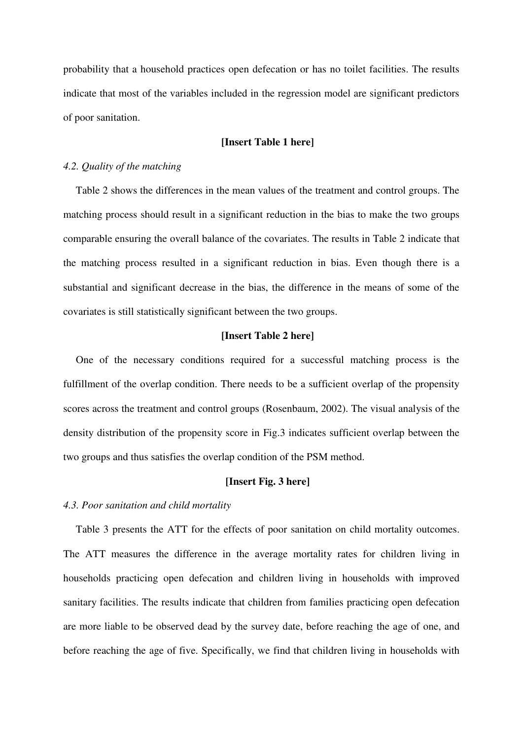probability that a household practices open defecation or has no toilet facilities. The results indicate that most of the variables included in the regression model are significant predictors of poor sanitation.

# **[Insert Table 1 here]**

# *4.2. Quality of the matching*

Table 2 shows the differences in the mean values of the treatment and control groups. The matching process should result in a significant reduction in the bias to make the two groups comparable ensuring the overall balance of the covariates. The results in Table 2 indicate that the matching process resulted in a significant reduction in bias. Even though there is a substantial and significant decrease in the bias, the difference in the means of some of the covariates is still statistically significant between the two groups.

# **[Insert Table 2 here]**

One of the necessary conditions required for a successful matching process is the fulfillment of the overlap condition. There needs to be a sufficient overlap of the propensity scores across the treatment and control groups [\(Rosenbaum, 2002\)](#page-21-3). The visual analysis of the density distribution of the propensity score in Fig.3 indicates sufficient overlap between the two groups and thus satisfies the overlap condition of the PSM method.

# **[Insert Fig. 3 here]**

#### *4.3. Poor sanitation and child mortality*

Table 3 presents the ATT for the effects of poor sanitation on child mortality outcomes. The ATT measures the difference in the average mortality rates for children living in households practicing open defecation and children living in households with improved sanitary facilities. The results indicate that children from families practicing open defecation are more liable to be observed dead by the survey date, before reaching the age of one, and before reaching the age of five. Specifically, we find that children living in households with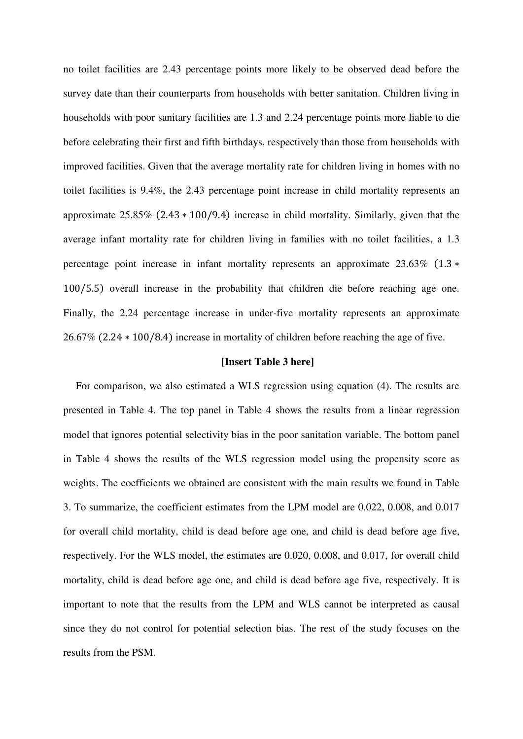no toilet facilities are 2.43 percentage points more likely to be observed dead before the survey date than their counterparts from households with better sanitation. Children living in households with poor sanitary facilities are 1.3 and 2.24 percentage points more liable to die before celebrating their first and fifth birthdays, respectively than those from households with improved facilities. Given that the average mortality rate for children living in homes with no toilet facilities is 9.4%, the 2.43 percentage point increase in child mortality represents an approximate 25.85% (2.43 ∗ 100/9.4) increase in child mortality. Similarly, given that the average infant mortality rate for children living in families with no toilet facilities, a 1.3 percentage point increase in infant mortality represents an approximate 23.63% (1.3  $*$ 100/5.5) overall increase in the probability that children die before reaching age one. Finally, the 2.24 percentage increase in under-five mortality represents an approximate 26.67% (2.24 ∗ 100/8.4) increase in mortality of children before reaching the age of five.

#### **[Insert Table 3 here]**

For comparison, we also estimated a WLS regression using equation (4). The results are presented in Table 4. The top panel in Table 4 shows the results from a linear regression model that ignores potential selectivity bias in the poor sanitation variable. The bottom panel in Table 4 shows the results of the WLS regression model using the propensity score as weights. The coefficients we obtained are consistent with the main results we found in Table 3. To summarize, the coefficient estimates from the LPM model are 0.022, 0.008, and 0.017 for overall child mortality, child is dead before age one, and child is dead before age five, respectively. For the WLS model, the estimates are 0.020, 0.008, and 0.017, for overall child mortality, child is dead before age one, and child is dead before age five, respectively. It is important to note that the results from the LPM and WLS cannot be interpreted as causal since they do not control for potential selection bias. The rest of the study focuses on the results from the PSM.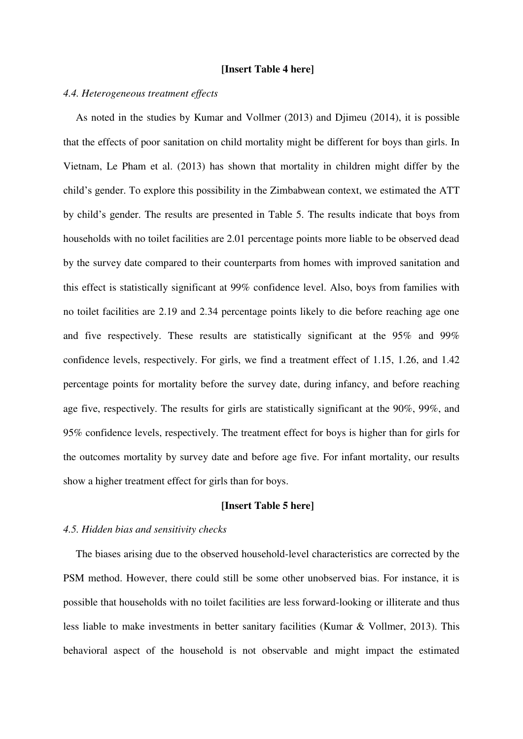#### **[Insert Table 4 here]**

# *4.4. Heterogeneous treatment effects*

As noted in the studies by [Kumar and Vollmer \(2013\)](#page-21-0) and [Djimeu \(2014\),](#page-20-5) it is possible that the effects of poor sanitation on child mortality might be different for boys than girls. In Vietnam, [Le Pham et al. \(2013\)](#page-21-11) has shown that mortality in children might differ by the child's gender. To explore this possibility in the Zimbabwean context, we estimated the ATT by child's gender. The results are presented in Table 5. The results indicate that boys from households with no toilet facilities are 2.01 percentage points more liable to be observed dead by the survey date compared to their counterparts from homes with improved sanitation and this effect is statistically significant at 99% confidence level. Also, boys from families with no toilet facilities are 2.19 and 2.34 percentage points likely to die before reaching age one and five respectively. These results are statistically significant at the 95% and 99% confidence levels, respectively. For girls, we find a treatment effect of 1.15, 1.26, and 1.42 percentage points for mortality before the survey date, during infancy, and before reaching age five, respectively. The results for girls are statistically significant at the 90%, 99%, and 95% confidence levels, respectively. The treatment effect for boys is higher than for girls for the outcomes mortality by survey date and before age five. For infant mortality, our results show a higher treatment effect for girls than for boys.

# **[Insert Table 5 here]**

#### *4.5. Hidden bias and sensitivity checks*

The biases arising due to the observed household-level characteristics are corrected by the PSM method. However, there could still be some other unobserved bias. For instance, it is possible that households with no toilet facilities are less forward-looking or illiterate and thus less liable to make investments in better sanitary facilities [\(Kumar & Vollmer, 2013\)](#page-21-0). This behavioral aspect of the household is not observable and might impact the estimated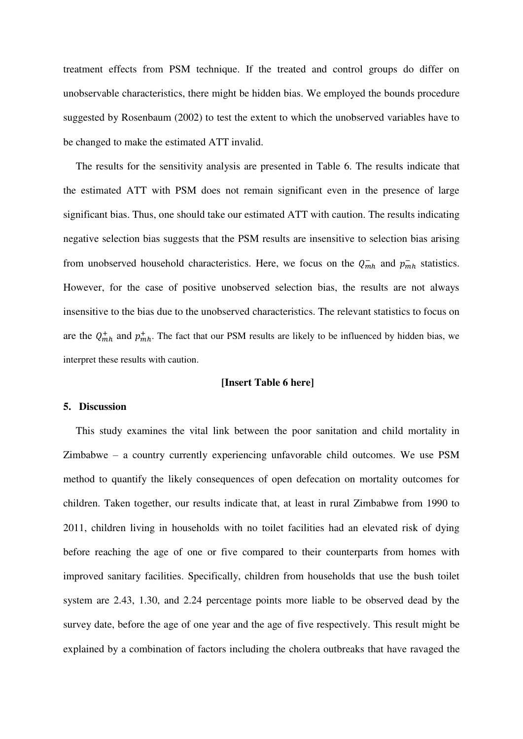treatment effects from PSM technique. If the treated and control groups do differ on unobservable characteristics, there might be hidden bias. We employed the bounds procedure suggested by [Rosenbaum \(2002\)](#page-21-3) to test the extent to which the unobserved variables have to be changed to make the estimated ATT invalid.

The results for the sensitivity analysis are presented in Table 6. The results indicate that the estimated ATT with PSM does not remain significant even in the presence of large significant bias. Thus, one should take our estimated ATT with caution. The results indicating negative selection bias suggests that the PSM results are insensitive to selection bias arising from unobserved household characteristics. Here, we focus on the  $Q_{mh}^-$  and  $p_{mh}^-$  statistics. However, for the case of positive unobserved selection bias, the results are not always insensitive to the bias due to the unobserved characteristics. The relevant statistics to focus on are the  $Q_{mh}^+$  and  $p_{mh}^+$ . The fact that our PSM results are likely to be influenced by hidden bias, we interpret these results with caution.

# **[Insert Table 6 here]**

#### **5. Discussion**

This study examines the vital link between the poor sanitation and child mortality in Zimbabwe – a country currently experiencing unfavorable child outcomes. We use PSM method to quantify the likely consequences of open defecation on mortality outcomes for children. Taken together, our results indicate that, at least in rural Zimbabwe from 1990 to 2011, children living in households with no toilet facilities had an elevated risk of dying before reaching the age of one or five compared to their counterparts from homes with improved sanitary facilities. Specifically, children from households that use the bush toilet system are 2.43, 1.30, and 2.24 percentage points more liable to be observed dead by the survey date, before the age of one year and the age of five respectively. This result might be explained by a combination of factors including the cholera outbreaks that have ravaged the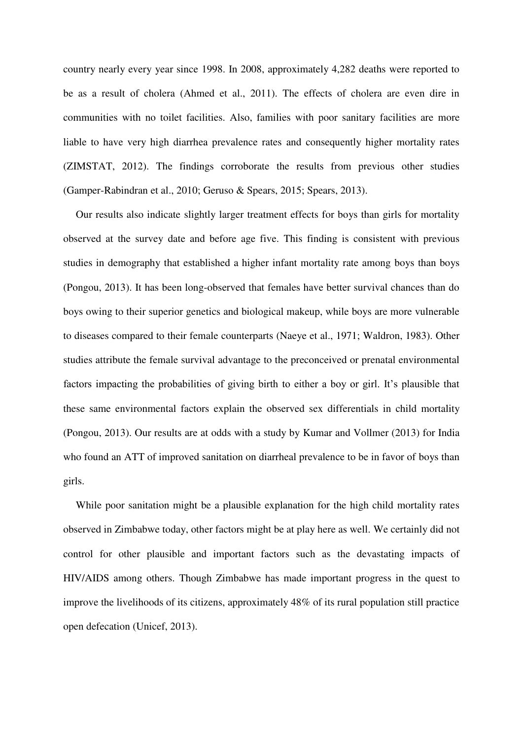country nearly every year since 1998. In 2008, approximately 4,282 deaths were reported to be as a result of cholera [\(Ahmed et al., 2011\)](#page-20-13). The effects of cholera are even dire in communities with no toilet facilities. Also, families with poor sanitary facilities are more liable to have very high diarrhea prevalence rates and consequently higher mortality rates [\(ZIMSTAT, 2012\)](#page-22-5). The findings corroborate the results from previous other studies [\(Gamper-Rabindran et al., 2010;](#page-20-2) [Geruso & Spears, 2015;](#page-20-1) [Spears, 2013\)](#page-22-1).

Our results also indicate slightly larger treatment effects for boys than girls for mortality observed at the survey date and before age five. This finding is consistent with previous studies in demography that established a higher infant mortality rate among boys than boys [\(Pongou, 2013\)](#page-21-12). It has been long-observed that females have better survival chances than do boys owing to their superior genetics and biological makeup, while boys are more vulnerable to diseases compared to their female counterparts [\(Naeye et al., 1971;](#page-21-13) [Waldron, 1983\)](#page-22-10). Other studies attribute the female survival advantage to the preconceived or prenatal environmental factors impacting the probabilities of giving birth to either a boy or girl. It's plausible that these same environmental factors explain the observed sex differentials in child mortality [\(Pongou, 2013\)](#page-21-12). Our results are at odds with a study by [Kumar and Vollmer \(2013\)](#page-21-0) for India who found an ATT of improved sanitation on diarrheal prevalence to be in favor of boys than girls.

While poor sanitation might be a plausible explanation for the high child mortality rates observed in Zimbabwe today, other factors might be at play here as well. We certainly did not control for other plausible and important factors such as the devastating impacts of HIV/AIDS among others. Though Zimbabwe has made important progress in the quest to improve the livelihoods of its citizens, approximately 48% of its rural population still practice open defecation [\(Unicef, 2013\)](#page-22-4).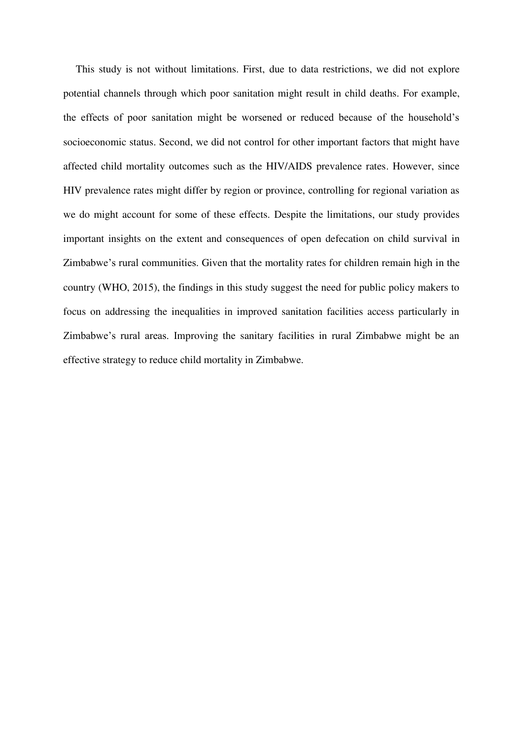This study is not without limitations. First, due to data restrictions, we did not explore potential channels through which poor sanitation might result in child deaths. For example, the effects of poor sanitation might be worsened or reduced because of the household's socioeconomic status. Second, we did not control for other important factors that might have affected child mortality outcomes such as the HIV/AIDS prevalence rates. However, since HIV prevalence rates might differ by region or province, controlling for regional variation as we do might account for some of these effects. Despite the limitations, our study provides important insights on the extent and consequences of open defecation on child survival in Zimbabwe's rural communities. Given that the mortality rates for children remain high in the country [\(WHO, 2015\)](#page-22-2), the findings in this study suggest the need for public policy makers to focus on addressing the inequalities in improved sanitation facilities access particularly in Zimbabwe's rural areas. Improving the sanitary facilities in rural Zimbabwe might be an effective strategy to reduce child mortality in Zimbabwe.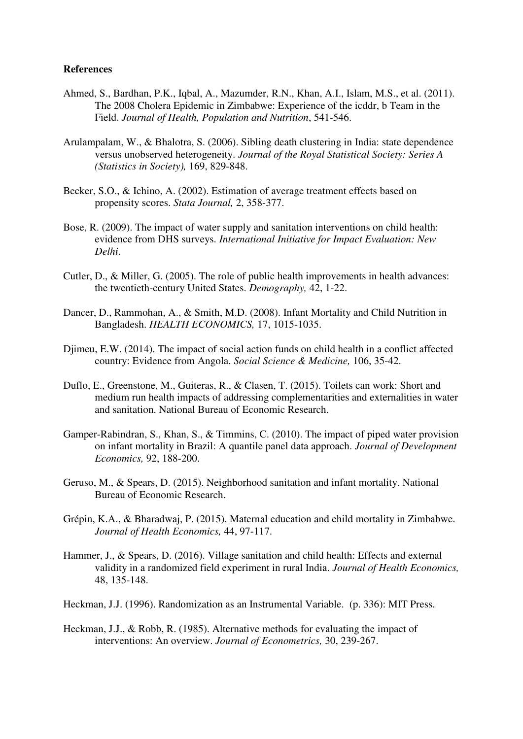# **References**

- <span id="page-20-13"></span>Ahmed, S., Bardhan, P.K., Iqbal, A., Mazumder, R.N., Khan, A.I., Islam, M.S., et al. (2011). The 2008 Cholera Epidemic in Zimbabwe: Experience of the icddr, b Team in the Field. *Journal of Health, Population and Nutrition*, 541-546.
- <span id="page-20-7"></span>Arulampalam, W., & Bhalotra, S. (2006). Sibling death clustering in India: state dependence versus unobserved heterogeneity. *Journal of the Royal Statistical Society: Series A (Statistics in Society),* 169, 829-848.
- <span id="page-20-12"></span>Becker, S.O., & Ichino, A. (2002). Estimation of average treatment effects based on propensity scores. *Stata Journal,* 2, 358-377.
- <span id="page-20-6"></span>Bose, R. (2009). The impact of water supply and sanitation interventions on child health: evidence from DHS surveys. *International Initiative for Impact Evaluation: New Delhi*.
- <span id="page-20-3"></span>Cutler, D., & Miller, G. (2005). The role of public health improvements in health advances: the twentieth-century United States. *Demography,* 42, 1-22.
- <span id="page-20-8"></span>Dancer, D., Rammohan, A., & Smith, M.D. (2008). Infant Mortality and Child Nutrition in Bangladesh. *HEALTH ECONOMICS,* 17, 1015-1035.
- <span id="page-20-5"></span>Djimeu, E.W. (2014). The impact of social action funds on child health in a conflict affected country: Evidence from Angola. *Social Science & Medicine,* 106, 35-42.
- <span id="page-20-4"></span>Duflo, E., Greenstone, M., Guiteras, R., & Clasen, T. (2015). Toilets can work: Short and medium run health impacts of addressing complementarities and externalities in water and sanitation. National Bureau of Economic Research.
- <span id="page-20-2"></span>Gamper-Rabindran, S., Khan, S., & Timmins, C. (2010). The impact of piped water provision on infant mortality in Brazil: A quantile panel data approach. *Journal of Development Economics,* 92, 188-200.
- <span id="page-20-1"></span>Geruso, M., & Spears, D. (2015). Neighborhood sanitation and infant mortality. National Bureau of Economic Research.
- <span id="page-20-9"></span>Grépin, K.A., & Bharadwaj, P. (2015). Maternal education and child mortality in Zimbabwe. *Journal of Health Economics,* 44, 97-117.
- <span id="page-20-0"></span>Hammer, J., & Spears, D. (2016). Village sanitation and child health: Effects and external validity in a randomized field experiment in rural India. *Journal of Health Economics,*  48, 135-148.
- <span id="page-20-10"></span>Heckman, J.J. (1996). Randomization as an Instrumental Variable. (p. 336): MIT Press.
- <span id="page-20-11"></span>Heckman, J.J., & Robb, R. (1985). Alternative methods for evaluating the impact of interventions: An overview. *Journal of Econometrics,* 30, 239-267.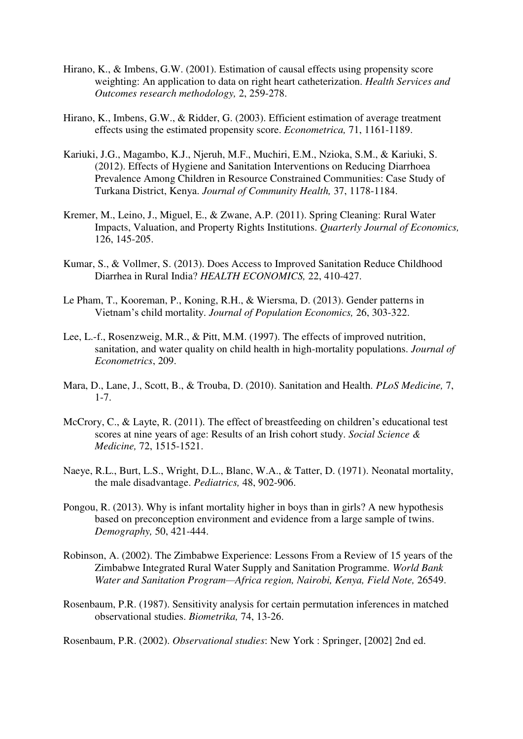- <span id="page-21-2"></span>Hirano, K., & Imbens, G.W. (2001). Estimation of causal effects using propensity score weighting: An application to data on right heart catheterization. *Health Services and Outcomes research methodology,* 2, 259-278.
- <span id="page-21-9"></span>Hirano, K., Imbens, G.W., & Ridder, G. (2003). Efficient estimation of average treatment effects using the estimated propensity score. *Econometrica,* 71, 1161-1189.
- <span id="page-21-5"></span>Kariuki, J.G., Magambo, K.J., Njeruh, M.F., Muchiri, E.M., Nzioka, S.M., & Kariuki, S. (2012). Effects of Hygiene and Sanitation Interventions on Reducing Diarrhoea Prevalence Among Children in Resource Constrained Communities: Case Study of Turkana District, Kenya. *Journal of Community Health,* 37, 1178-1184.
- <span id="page-21-4"></span>Kremer, M., Leino, J., Miguel, E., & Zwane, A.P. (2011). Spring Cleaning: Rural Water Impacts, Valuation, and Property Rights Institutions. *Quarterly Journal of Economics,*  126, 145-205.
- <span id="page-21-0"></span>Kumar, S., & Vollmer, S. (2013). Does Access to Improved Sanitation Reduce Childhood Diarrhea in Rural India? *HEALTH ECONOMICS,* 22, 410-427.
- <span id="page-21-11"></span>Le Pham, T., Kooreman, P., Koning, R.H., & Wiersma, D. (2013). Gender patterns in Vietnam's child mortality. *Journal of Population Economics,* 26, 303-322.
- <span id="page-21-7"></span>Lee, L.-f., Rosenzweig, M.R., & Pitt, M.M. (1997). The effects of improved nutrition, sanitation, and water quality on child health in high-mortality populations. *Journal of Econometrics*, 209.
- <span id="page-21-6"></span>Mara, D., Lane, J., Scott, B., & Trouba, D. (2010). Sanitation and Health. *PLoS Medicine,* 7, 1-7.
- <span id="page-21-8"></span>McCrory, C., & Layte, R. (2011). The effect of breastfeeding on children's educational test scores at nine years of age: Results of an Irish cohort study. *Social Science & Medicine,* 72, 1515-1521.
- <span id="page-21-13"></span>Naeye, R.L., Burt, L.S., Wright, D.L., Blanc, W.A., & Tatter, D. (1971). Neonatal mortality, the male disadvantage. *Pediatrics,* 48, 902-906.
- <span id="page-21-12"></span>Pongou, R. (2013). Why is infant mortality higher in boys than in girls? A new hypothesis based on preconception environment and evidence from a large sample of twins. *Demography,* 50, 421-444.
- <span id="page-21-1"></span>Robinson, A. (2002). The Zimbabwe Experience: Lessons From a Review of 15 years of the Zimbabwe Integrated Rural Water Supply and Sanitation Programme. *World Bank Water and Sanitation Program—Africa region, Nairobi, Kenya, Field Note,* 26549.
- <span id="page-21-10"></span>Rosenbaum, P.R. (1987). Sensitivity analysis for certain permutation inferences in matched observational studies. *Biometrika,* 74, 13-26.

<span id="page-21-3"></span>Rosenbaum, P.R. (2002). *Observational studies*: New York : Springer, [2002] 2nd ed.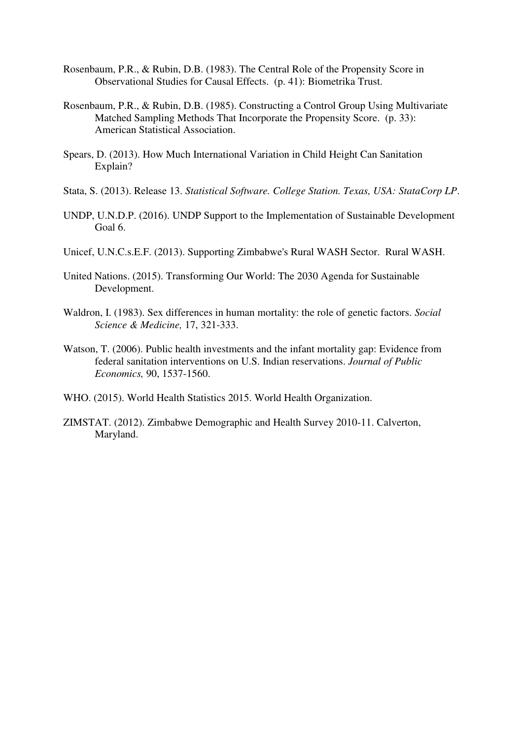- <span id="page-22-8"></span>Rosenbaum, P.R., & Rubin, D.B. (1983). The Central Role of the Propensity Score in Observational Studies for Causal Effects. (p. 41): Biometrika Trust.
- <span id="page-22-7"></span>Rosenbaum, P.R., & Rubin, D.B. (1985). Constructing a Control Group Using Multivariate Matched Sampling Methods That Incorporate the Propensity Score. (p. 33): American Statistical Association.
- <span id="page-22-1"></span>Spears, D. (2013). How Much International Variation in Child Height Can Sanitation Explain?
- <span id="page-22-9"></span>Stata, S. (2013). Release 13. *Statistical Software. College Station. Texas, USA: StataCorp LP*.
- <span id="page-22-0"></span>UNDP, U.N.D.P. (2016). UNDP Support to the Implementation of Sustainable Development Goal 6.
- <span id="page-22-4"></span>Unicef, U.N.C.s.E.F. (2013). Supporting Zimbabwe's Rural WASH Sector. Rural WASH.
- <span id="page-22-3"></span>United Nations. (2015). Transforming Our World: The 2030 Agenda for Sustainable Development.
- <span id="page-22-10"></span>Waldron, I. (1983). Sex differences in human mortality: the role of genetic factors. *Social Science & Medicine,* 17, 321-333.
- <span id="page-22-6"></span>Watson, T. (2006). Public health investments and the infant mortality gap: Evidence from federal sanitation interventions on U.S. Indian reservations. *Journal of Public Economics,* 90, 1537-1560.
- <span id="page-22-2"></span>WHO. (2015). World Health Statistics 2015. World Health Organization.
- <span id="page-22-5"></span>ZIMSTAT. (2012). Zimbabwe Demographic and Health Survey 2010-11. Calverton, Maryland.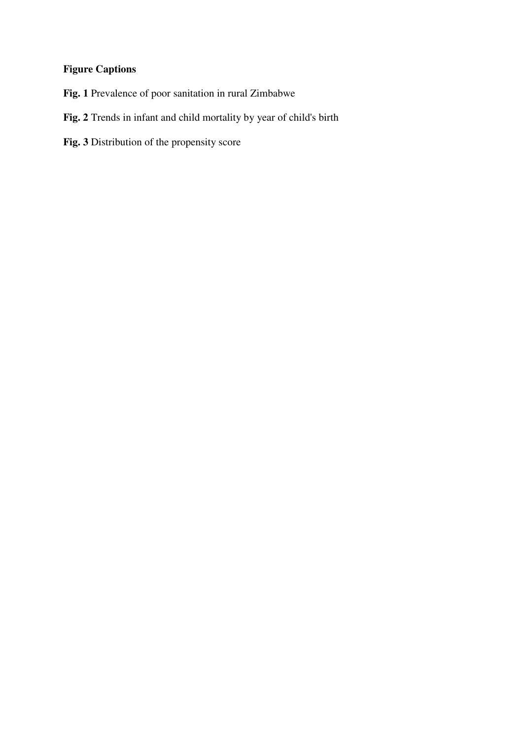# **Figure Captions**

- **Fig. 1** Prevalence of poor sanitation in rural Zimbabwe
- **Fig. 2** Trends in infant and child mortality by year of child's birth
- **Fig. 3** Distribution of the propensity score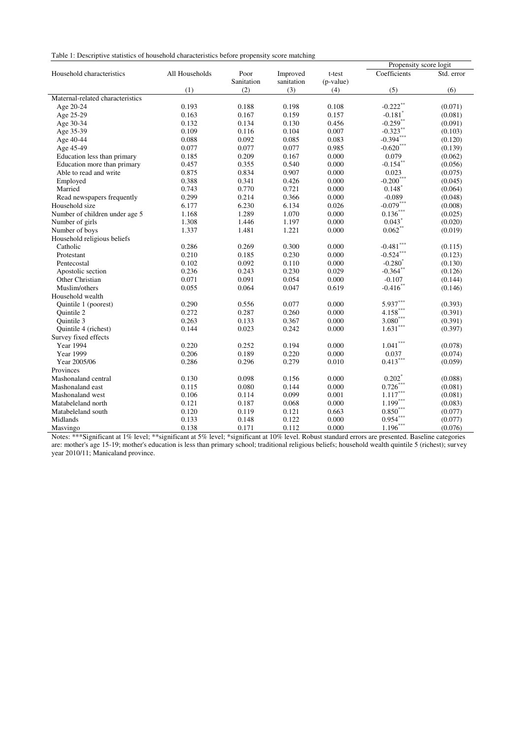Table 1: Descriptive statistics of household characteristics before propensity score matching

|                                  |                |            |            |           | Propensity score logit |            |  |
|----------------------------------|----------------|------------|------------|-----------|------------------------|------------|--|
| Household characteristics        | All Households | Poor       | Improved   | t-test    | Coefficients           | Std. error |  |
|                                  |                | Sanitation | sanitation | (p-value) |                        |            |  |
|                                  | (1)            | (2)        | (3)        | (4)       | (5)                    | (6)        |  |
| Maternal-related characteristics |                |            |            |           |                        |            |  |
| Age 20-24                        | 0.193          | 0.188      | 0.198      | 0.108     | $-0.222$ <sup>**</sup> | (0.071)    |  |
| Age 25-29                        | 0.163          | 0.167      | 0.159      | 0.157     | $-0.181$ <sup>*</sup>  | (0.081)    |  |
| Age 30-34                        | 0.132          | 0.134      | 0.130      | 0.456     | $-0.259$ **            | (0.091)    |  |
| Age 35-39                        | 0.109          | 0.116      | 0.104      | 0.007     | $-0.323***$            | (0.103)    |  |
| Age 40-44                        | 0.088          | 0.092      | 0.085      | 0.083     | $-0.394***$            | (0.120)    |  |
| Age 45-49                        | 0.077          | 0.077      | 0.077      | 0.985     | $-0.620***$            | (0.139)    |  |
| Education less than primary      | 0.185          | 0.209      | 0.167      | 0.000     | 0.079                  | (0.062)    |  |
| Education more than primary      | 0.457          | 0.355      | 0.540      | 0.000     | $-0.154***$            | (0.056)    |  |
| Able to read and write           | 0.875          | 0.834      | 0.907      | 0.000     | 0.023                  | (0.075)    |  |
| Employed                         | 0.388          | 0.341      | 0.426      | 0.000     | $-0.200$ ***           | (0.045)    |  |
| Married                          | 0.743          | 0.770      | 0.721      | 0.000     | $0.148*$               | (0.064)    |  |
| Read newspapers frequently       | 0.299          | 0.214      | 0.366      | 0.000     | $-0.089$               | (0.048)    |  |
| Household size                   | 6.177          | 6.230      | 6.134      | 0.026     | $-0.079***$            | (0.008)    |  |
| Number of children under age 5   | 1.168          | 1.289      | 1.070      | 0.000     | $0.136\sp{***}$        | (0.025)    |  |
| Number of girls                  | 1.308          | 1.446      | 1.197      | 0.000     | 0.043                  | (0.020)    |  |
| Number of boys                   | 1.337          | 1.481      | 1.221      | 0.000     | $0.062**$              | (0.019)    |  |
| Household religious beliefs      |                |            |            |           |                        |            |  |
| Catholic                         | 0.286          | 0.269      | 0.300      | 0.000     | $-0.481$ ***           | (0.115)    |  |
| Protestant                       | 0.210          | 0.185      | 0.230      | 0.000     | $-0.524***$            | (0.123)    |  |
| Pentecostal                      | 0.102          | 0.092      | 0.110      | 0.000     | $-0.280^*$             | (0.130)    |  |
| Apostolic section                | 0.236          | 0.243      | 0.230      | 0.029     | $-0.364$ **            | (0.126)    |  |
| Other Christian                  | 0.071          | 0.091      | 0.054      | 0.000     | $-0.107$               | (0.144)    |  |
| Muslim/others                    | 0.055          | 0.064      | 0.047      | 0.619     | $-0.416$ **            | (0.146)    |  |
| Household wealth                 |                |            |            |           |                        |            |  |
| Quintile 1 (poorest)             | 0.290          | 0.556      | 0.077      | 0.000     | $5.937***$             | (0.393)    |  |
| Quintile 2                       | 0.272          | 0.287      | 0.260      | 0.000     | $4.158***$             | (0.391)    |  |
| Quintile 3                       | 0.263          | 0.133      | 0.367      | 0.000     | $\mathbf{3.080}^{***}$ | (0.391)    |  |
| Quintile 4 (richest)             | 0.144          | 0.023      | 0.242      | 0.000     | $1.631^{\ast\ast\ast}$ | (0.397)    |  |
| Survey fixed effects             |                |            |            |           |                        |            |  |
| <b>Year 1994</b>                 | 0.220          | 0.252      | 0.194      | 0.000     | $1.041***$             | (0.078)    |  |
| <b>Year 1999</b>                 | 0.206          | 0.189      | 0.220      | 0.000     | 0.037                  | (0.074)    |  |
| Year 2005/06                     | 0.286          | 0.296      | 0.279      | 0.010     | $0.413***$             | (0.059)    |  |
| Provinces                        |                |            |            |           |                        |            |  |
| Mashonaland central              | 0.130          | 0.098      | 0.156      | 0.000     | $0.202$ <sup>*</sup>   | (0.088)    |  |
| Mashonaland east                 | 0.115          | 0.080      | 0.144      | 0.000     | $0.726***$             | (0.081)    |  |
| Mashonaland west                 | 0.106          | 0.114      | 0.099      | 0.001     | $1.117^{\ast\ast\ast}$ | (0.081)    |  |
| Matabeleland north               | 0.121          | 0.187      | 0.068      | 0.000     | $1.199***$             | (0.083)    |  |
| Matabeleland south               | 0.120          | 0.119      | 0.121      | 0.663     | $0.850***$             | (0.077)    |  |
| Midlands                         | 0.133          | 0.148      | 0.122      | 0.000     | $0.954***$             | (0.077)    |  |
| Masvingo                         | 0.138          | 0.171      | 0.112      | 0.000     | $1.196***$             | (0.076)    |  |

Notes: \*\*\*Significant at 1% level; \*\*significant at 5% level; \*significant at 10% level. Robust standard errors are presented. Baseline categories are: mother's age 15-19; mother's education is less than primary school; traditional religious beliefs; household wealth quintile 5 (richest); survey year 2010/11; Manicaland province.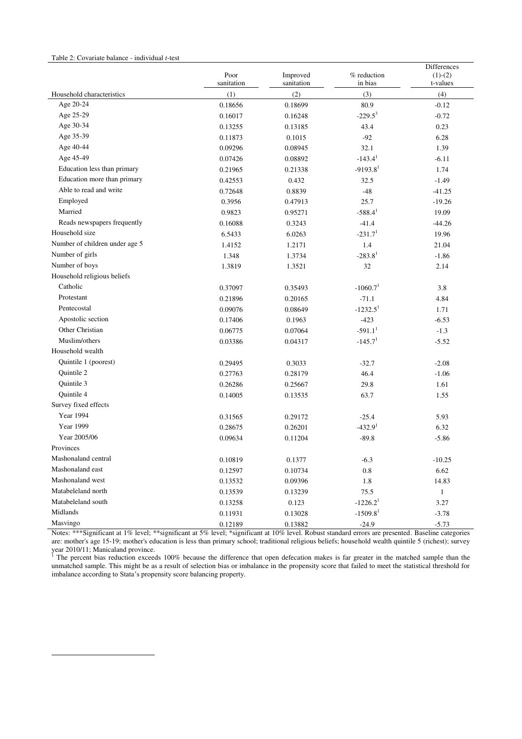#### Table 2: Covariate balance - individual *t*-test

-

|                                  |                    |                        |                        | Differences           |
|----------------------------------|--------------------|------------------------|------------------------|-----------------------|
|                                  | Poor<br>sanitation | Improved<br>sanitation | % reduction<br>in bias | $(1)-(2)$<br>t-values |
| Household characteristics        | (1)                | (2)                    | (3)                    | (4)                   |
| Age 20-24                        | 0.18656            | 0.18699                | 80.9                   | $-0.12$               |
| Age 25-29                        | 0.16017            | 0.16248                | $-229.5^3$             | $-0.72$               |
| Age 30-34                        | 0.13255            | 0.13185                | 43.4                   | 0.23                  |
| Age 35-39                        | 0.11873            | 0.1015                 | $-92$                  | 6.28                  |
| Age 40-44                        | 0.09296            | 0.08945                | 32.1                   | 1.39                  |
| Age 45-49                        | 0.07426            | 0.08892                | $-143.41$              | $-6.11$               |
| Education less than primary      | 0.21965            | 0.21338                | $-9193.81$             | 1.74                  |
| Education more than primary      | 0.42553            | 0.432                  | 32.5                   | $-1.49$               |
| Able to read and write           | 0.72648            | 0.8839                 | $-48$                  | $-41.25$              |
| Employed                         | 0.3956             | 0.47913                | 25.7                   | $-19.26$              |
| Married                          | 0.9823             | 0.95271                | $-588.4$ <sup>1</sup>  | 19.09                 |
| Reads newspapers frequently      | 0.16088            | 0.3243                 | $-41.4$                | $-44.26$              |
| Household size                   | 6.5433             | 6.0263                 | $-231.71$              | 19.96                 |
| Number of children under age 5   | 1.4152             | 1.2171                 | 1.4                    | 21.04                 |
| Number of girls                  |                    |                        | $-283.81$              |                       |
| Number of boys                   | 1.348              | 1.3734                 |                        | $-1.86$               |
| Household religious beliefs      | 1.3819             | 1.3521                 | 32                     | 2.14                  |
| Catholic                         |                    |                        |                        |                       |
| Protestant                       | 0.37097            | 0.35493                | $-1060.71$             | 3.8                   |
| Pentecostal                      | 0.21896            | 0.20165                | $-71.1$                | 4.84                  |
|                                  | 0.09076            | 0.08649                | $-1232.5$ <sup>1</sup> | 1.71                  |
| Apostolic section                | 0.17406            | 0.1963                 | $-423$                 | $-6.53$               |
| Other Christian<br>Muslim/others | 0.06775            | 0.07064                | $-591.1$ <sup>1</sup>  | $-1.3$                |
|                                  | 0.03386            | 0.04317                | $-145.71$              | $-5.52$               |
| Household wealth                 |                    |                        |                        |                       |
| Quintile 1 (poorest)             | 0.29495            | 0.3033                 | $-32.7$                | $-2.08$               |
| Quintile 2                       | 0.27763            | 0.28179                | 46.4                   | $-1.06$               |
| Quintile 3                       | 0.26286            | 0.25667                | 29.8                   | 1.61                  |
| Quintile 4                       | 0.14005            | 0.13535                | 63.7                   | 1.55                  |
| Survey fixed effects             |                    |                        |                        |                       |
| Year 1994                        | 0.31565            | 0.29172                | $-25.4$                | 5.93                  |
| <b>Year 1999</b>                 | 0.28675            | 0.26201                | $-432.91$              | 6.32                  |
| Year 2005/06                     | 0.09634            | 0.11204                | $-89.8$                | $-5.86$               |
| Provinces                        |                    |                        |                        |                       |
| Mashonaland central              | 0.10819            | 0.1377                 | $-6.3$                 | $-10.25$              |
| Mashonaland east                 | 0.12597            | 0.10734                | 0.8                    | 6.62                  |
| Mashonaland west                 | 0.13532            | 0.09396                | 1.8                    | 14.83                 |
| Matabeleland north               | 0.13539            | 0.13239                | 75.5                   | $\mathbf{1}$          |
| Matabeleland south               | 0.13258            | 0.123                  | $-1226.2$ <sup>1</sup> | 3.27                  |
| Midlands                         | 0.11931            | 0.13028                | $-1509.81$             | $-3.78$               |
| Masvingo                         | 0.12189            | 0.13882                | $-24.9$                | $-5.73$               |

Notes: \*\*\*Significant at 1% level; \*\*significant at 5% level; \*significant at 10% level. Robust standard errors are presented. Baseline categories are: mother's age 15-19; mother's education is less than primary school; traditional religious beliefs; household wealth quintile 5 (richest); survey year 2010/11; Manicaland province.<br><sup>1</sup> The percent bias reduction exceeds 100% because the difference that open defecation makes is far greater in the matched sample than the

unmatched sample. This might be as a result of selection bias or imbalance in the propensity score that failed to meet the statistical threshold for imbalance according to Stata's propensity score balancing property.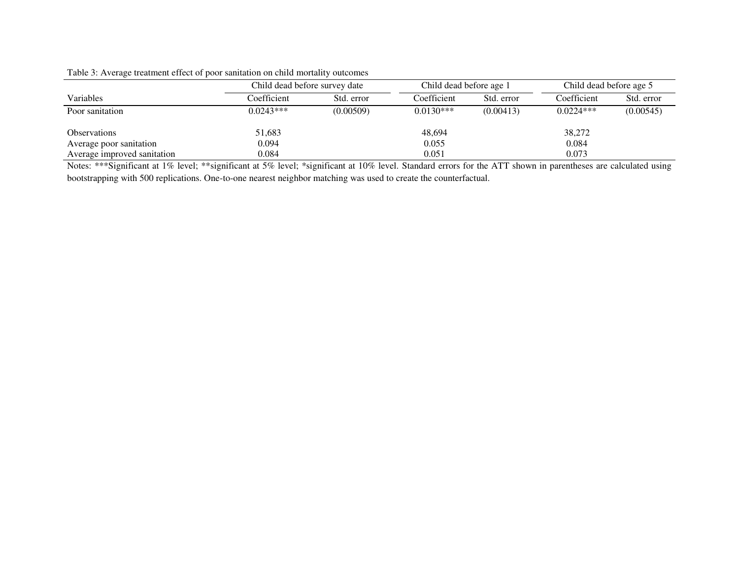|                             | Child dead before survey date |            | Child dead before age 1 |            | Child dead before age 5 |            |
|-----------------------------|-------------------------------|------------|-------------------------|------------|-------------------------|------------|
| Variables                   | Coefficient                   | Std. error | Coefficient             | Std. error | Coefficient             | Std. error |
| Poor sanitation             | $0.0243***$                   | (0.00509)  | $0.0130***$             | (0.00413)  | $0.0224***$             | (0.00545)  |
| <i><b>Observations</b></i>  | 51,683                        |            | 48,694                  |            | 38,272                  |            |
| Average poor sanitation     | 0.094                         |            | 0.055                   |            | 0.084                   |            |
| Average improved sanitation | 0.084                         |            | 0.051                   |            | 0.073                   |            |

#### Table 3: Average treatment effect of poor sanitation on child mortality outcomes

Notes: \*\*\*Significant at 1% level; \*\*significant at 5% level; \*significant at 10% level. Standard errors for the ATT shown in parentheses are calculated using bootstrapping with 500 replications. One-to-one nearest neighbor matching was used to create the counterfactual.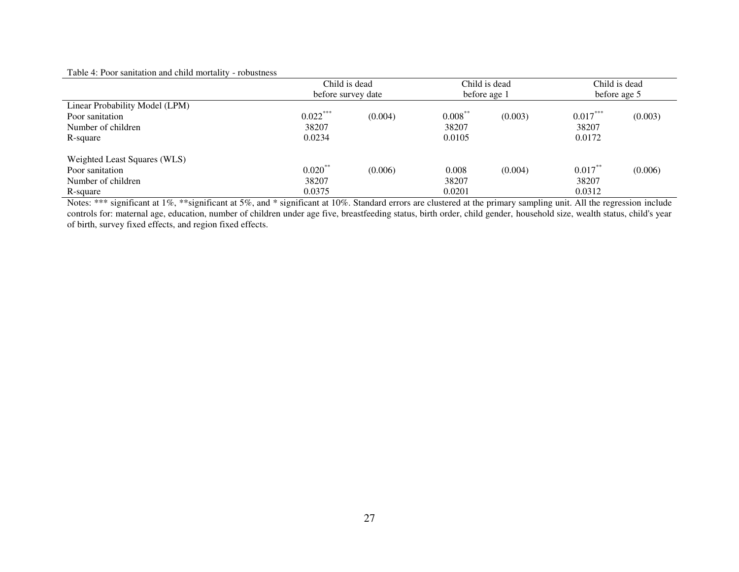# Table 4: Poor sanitation and child mortality - robustness

|                                | Child is dead      |         |            | Child is dead | Child is dead |         |
|--------------------------------|--------------------|---------|------------|---------------|---------------|---------|
|                                | before survey date |         |            | before age 1  | before age 5  |         |
| Linear Probability Model (LPM) |                    |         |            |               |               |         |
| Poor sanitation                | $0.022***$         | (0.004) | $0.008***$ | (0.003)       | $0.017***$    | (0.003) |
| Number of children             | 38207              |         | 38207      |               | 38207         |         |
| R-square                       | 0.0234             |         | 0.0105     |               | 0.0172        |         |
| Weighted Least Squares (WLS)   |                    |         |            |               |               |         |
| Poor sanitation                | $0.020$ **         | (0.006) | 0.008      | (0.004)       | $0.017***$    | (0.006) |
| Number of children             | 38207              |         | 38207      |               | 38207         |         |
| R-square                       | 0.0375             |         | 0.0201     |               | 0.0312        |         |

Notes: \*\*\* significant at 1%, \*\*significant at 5%, and \* significant at 10%. Standard errors are clustered at the primary sampling unit. All the regression include controls for: maternal age, education, number of children under age five, breastfeeding status, birth order, child gender, household size, wealth status, child's year of birth, survey fixed effects, and region fixed effects.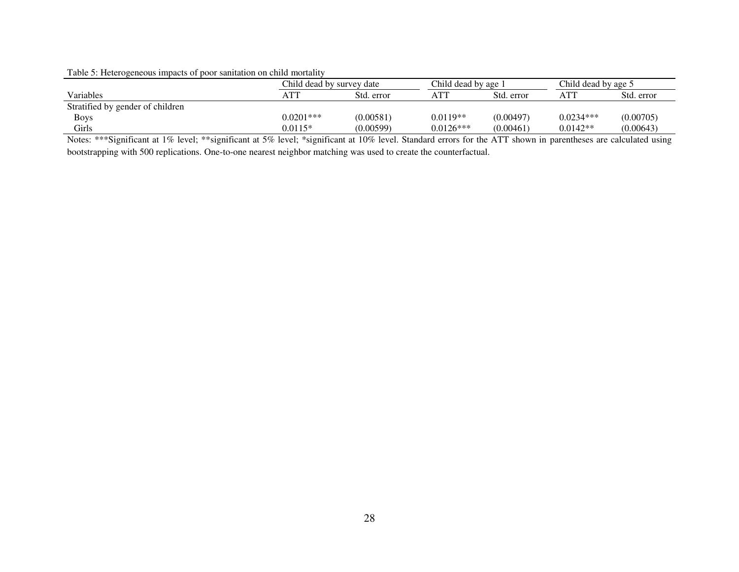#### Table 5: Heterogeneous impacts of poor sanitation on child mortality

|                                  | Child dead by survey date |            | Child dead by age 1 |            | Child dead by age 5 |            |  |
|----------------------------------|---------------------------|------------|---------------------|------------|---------------------|------------|--|
| Variables                        | ATT                       | Std. error | <b>ATT</b>          | Std. error |                     | Std. error |  |
| Stratified by gender of children |                           |            |                     |            |                     |            |  |
| <b>Boys</b>                      | $0.0201***$               | (0.00581)  | $0.0119**$          | (0.00497)  | $0.0234***$         | (0.00705)  |  |
| Girls                            | $0.0115*$                 | (0.00599)  | $0.0126***$         | (0.00461)  | $0.0142**$          | (0.00643)  |  |

Notes: \*\*\*Significant at 1% level; \*\*significant at 5% level; \*significant at 10% level. Standard errors for the ATT shown in parentheses are calculated using bootstrapping with 500 replications. One-to-one nearest neighbor matching was used to create the counterfactual.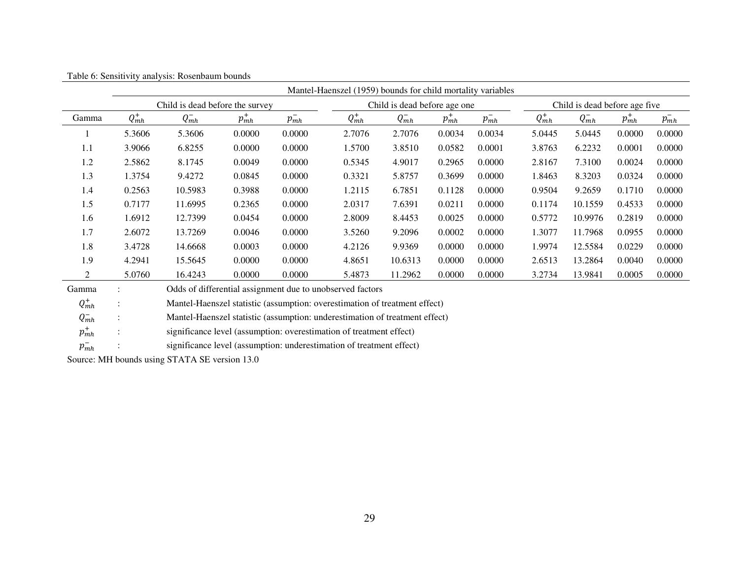|       | Mantel-Haenszel (1959) bounds for child mortality variables |                                                                 |            |            |            |            |            |                               |            |            |            |            |
|-------|-------------------------------------------------------------|-----------------------------------------------------------------|------------|------------|------------|------------|------------|-------------------------------|------------|------------|------------|------------|
|       |                                                             | Child is dead before the survey<br>Child is dead before age one |            |            |            |            |            | Child is dead before age five |            |            |            |            |
| Gamma | $Q^+_{mh}$                                                  | $Q_{mh}^-$                                                      | $p_{mh}^+$ | $p_{mh}^-$ | $Q_{mh}^+$ | $Q_{mh}^-$ | $p_{mh}^+$ | $p_{mh}^-$                    | $Q_{mh}^+$ | $Q_{mh}^-$ | $p_{mh}^+$ | $p_{mh}^-$ |
|       | 5.3606                                                      | 5.3606                                                          | 0.0000     | 0.0000     | 2.7076     | 2.7076     | 0.0034     | 0.0034                        | 5.0445     | 5.0445     | 0.0000     | 0.0000     |
| 1.1   | 3.9066                                                      | 6.8255                                                          | 0.0000     | 0.0000     | 1.5700     | 3.8510     | 0.0582     | 0.0001                        | 3.8763     | 6.2232     | 0.0001     | 0.0000     |
| 1.2   | 2.5862                                                      | 8.1745                                                          | 0.0049     | 0.0000     | 0.5345     | 4.9017     | 0.2965     | 0.0000                        | 2.8167     | 7.3100     | 0.0024     | 0.0000     |
| 1.3   | 1.3754                                                      | 9.4272                                                          | 0.0845     | 0.0000     | 0.3321     | 5.8757     | 0.3699     | 0.0000                        | 1.8463     | 8.3203     | 0.0324     | 0.0000     |
| 1.4   | 0.2563                                                      | 10.5983                                                         | 0.3988     | 0.0000     | 1.2115     | 6.7851     | 0.1128     | 0.0000                        | 0.9504     | 9.2659     | 0.1710     | 0.0000     |
| 1.5   | 0.7177                                                      | 11.6995                                                         | 0.2365     | 0.0000     | 2.0317     | 7.6391     | 0.0211     | 0.0000                        | 0.1174     | 10.1559    | 0.4533     | 0.0000     |
| 1.6   | 1.6912                                                      | 12.7399                                                         | 0.0454     | 0.0000     | 2.8009     | 8.4453     | 0.0025     | 0.0000                        | 0.5772     | 10.9976    | 0.2819     | 0.0000     |
| 1.7   | 2.6072                                                      | 13.7269                                                         | 0.0046     | 0.0000     | 3.5260     | 9.2096     | 0.0002     | 0.0000                        | 1.3077     | 11.7968    | 0.0955     | 0.0000     |
| 1.8   | 3.4728                                                      | 14.6668                                                         | 0.0003     | 0.0000     | 4.2126     | 9.9369     | 0.0000     | 0.0000                        | 1.9974     | 12.5584    | 0.0229     | 0.0000     |
| 1.9   | 4.2941                                                      | 15.5645                                                         | 0.0000     | 0.0000     | 4.8651     | 10.6313    | 0.0000     | 0.0000                        | 2.6513     | 13.2864    | 0.0040     | 0.0000     |
| 2     | 5.0760                                                      | 16.4243                                                         | 0.0000     | 0.0000     | 5.4873     | 11.2962    | 0.0000     | 0.0000                        | 3.2734     | 13.9841    | 0.0005     | 0.0000     |

Table 6: Sensitivity analysis: Rosenbaum bounds

Gamma : Odds of differential assignment due to unobserved factors

 $Q_{mh}^+$ : Mantel-Haenszel statistic (assumption: overestimation of treatment effect)

 $Q_{mh}^-$ : Mantel-Haenszel statistic (assumption: underestimation of treatment effect)

 $p_{mh}^+$ : significance level (assumption: overestimation of treatment effect)

 $p_{mh}^-$ <sup>−</sup> : significance level (assumption: underestimation of treatment effect)

Source: MH bounds using STATA SE version 13.0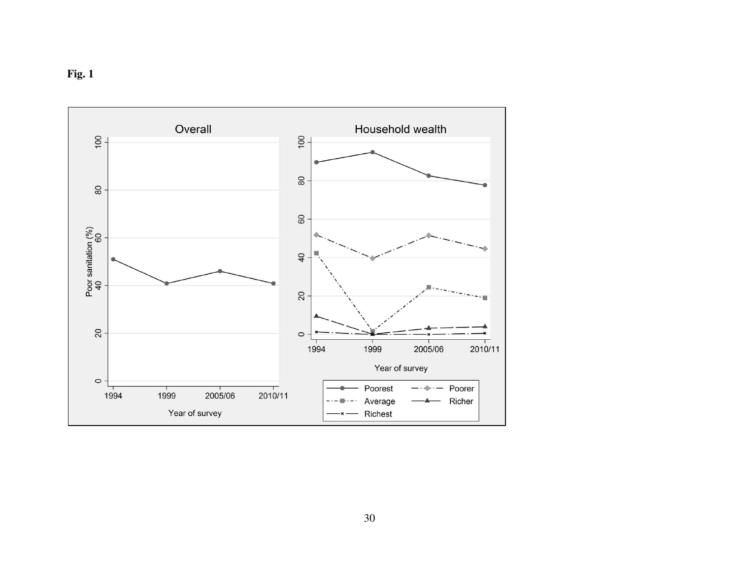

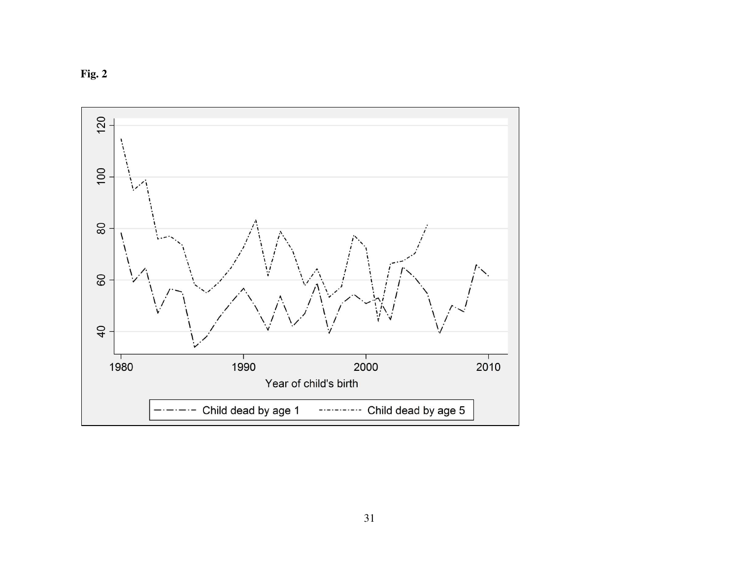